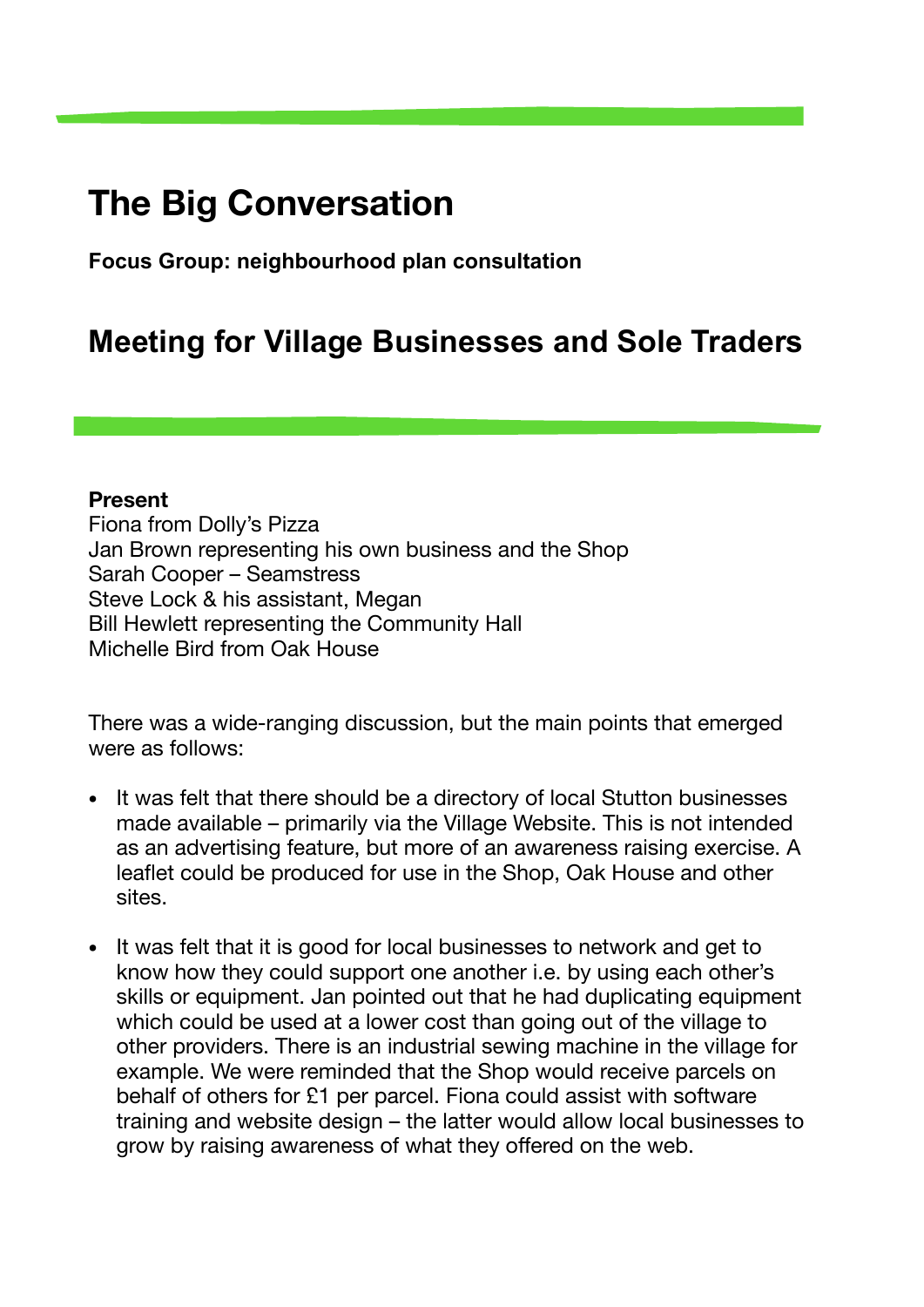## **The Big Conversation**

**Focus Group: neighbourhood plan consultation** 

## **Meeting for Village Businesses and Sole Traders**

## **Present**

Fiona from Dolly's Pizza Jan Brown representing his own business and the Shop Sarah Cooper – Seamstress Steve Lock & his assistant, Megan Bill Hewlett representing the Community Hall Michelle Bird from Oak House

There was a wide-ranging discussion, but the main points that emerged were as follows:

- It was felt that there should be a directory of local Stutton businesses made available – primarily via the Village Website. This is not intended as an advertising feature, but more of an awareness raising exercise. A leaflet could be produced for use in the Shop, Oak House and other sites.
- It was felt that it is good for local businesses to network and get to know how they could support one another i.e. by using each other's skills or equipment. Jan pointed out that he had duplicating equipment which could be used at a lower cost than going out of the village to other providers. There is an industrial sewing machine in the village for example. We were reminded that the Shop would receive parcels on behalf of others for £1 per parcel. Fiona could assist with software training and website design – the latter would allow local businesses to grow by raising awareness of what they offered on the web.